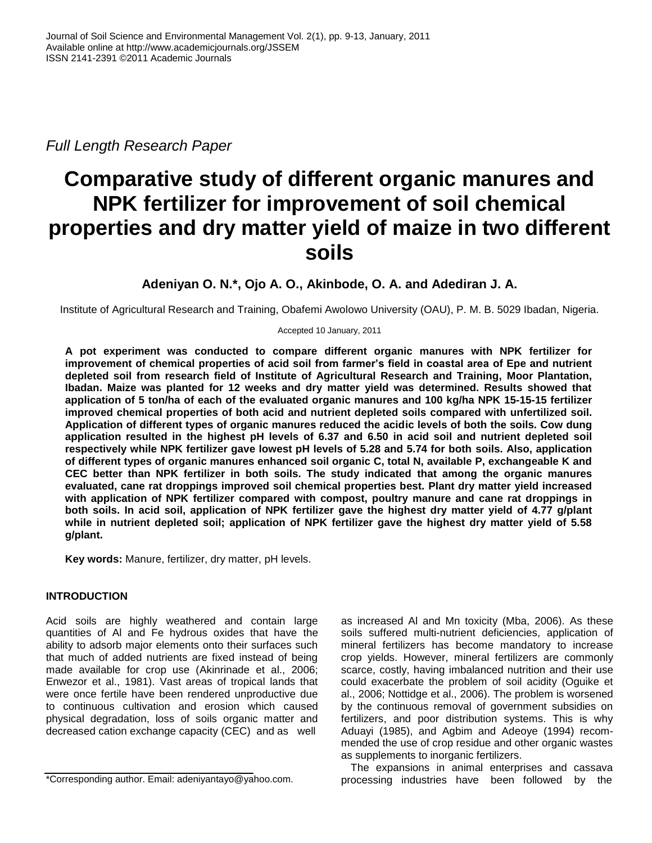*Full Length Research Paper*

# **Comparative study of different organic manures and NPK fertilizer for improvement of soil chemical properties and dry matter yield of maize in two different soils**

**Adeniyan O. N.\*, Ojo A. O., Akinbode, O. A. and Adediran J. A.**

Institute of Agricultural Research and Training, Obafemi Awolowo University (OAU), P. M. B. 5029 Ibadan, Nigeria.

Accepted 10 January, 2011

**A pot experiment was conducted to compare different organic manures with NPK fertilizer for improvement of chemical properties of acid soil from farmer's field in coastal area of Epe and nutrient depleted soil from research field of Institute of Agricultural Research and Training, Moor Plantation, Ibadan. Maize was planted for 12 weeks and dry matter yield was determined. Results showed that application of 5 ton/ha of each of the evaluated organic manures and 100 kg/ha NPK 15-15-15 fertilizer improved chemical properties of both acid and nutrient depleted soils compared with unfertilized soil. Application of different types of organic manures reduced the acidic levels of both the soils. Cow dung application resulted in the highest pH levels of 6.37 and 6.50 in acid soil and nutrient depleted soil respectively while NPK fertilizer gave lowest pH levels of 5.28 and 5.74 for both soils. Also, application of different types of organic manures enhanced soil organic C, total N, available P, exchangeable K and CEC better than NPK fertilizer in both soils. The study indicated that among the organic manures evaluated, cane rat droppings improved soil chemical properties best. Plant dry matter yield increased with application of NPK fertilizer compared with compost, poultry manure and cane rat droppings in both soils. In acid soil, application of NPK fertilizer gave the highest dry matter yield of 4.77 g/plant while in nutrient depleted soil; application of NPK fertilizer gave the highest dry matter yield of 5.58 g/plant.** 

**Key words:** Manure, fertilizer, dry matter, pH levels.

## **INTRODUCTION**

Acid soils are highly weathered and contain large quantities of Al and Fe hydrous oxides that have the ability to adsorb major elements onto their surfaces such that much of added nutrients are fixed instead of being made available for crop use (Akinrinade et al., 2006; Enwezor et al., 1981). Vast areas of tropical lands that were once fertile have been rendered unproductive due to continuous cultivation and erosion which caused physical degradation, loss of soils organic matter and decreased cation exchange capacity (CEC) and as well

as increased Al and Mn toxicity (Mba, 2006). As these soils suffered multi-nutrient deficiencies, application of mineral fertilizers has become mandatory to increase crop yields. However, mineral fertilizers are commonly scarce, costly, having imbalanced nutrition and their use could exacerbate the problem of soil acidity (Oguike et al., 2006; Nottidge et al., 2006). The problem is worsened by the continuous removal of government subsidies on fertilizers, and poor distribution systems. This is why Aduayi (1985), and Agbim and Adeoye (1994) recommended the use of crop residue and other organic wastes as supplements to inorganic fertilizers.

The expansions in animal enterprises and cassava processing industries have been followed by the

<sup>\*</sup>Corresponding author. Email: adeniyantayo@yahoo.com.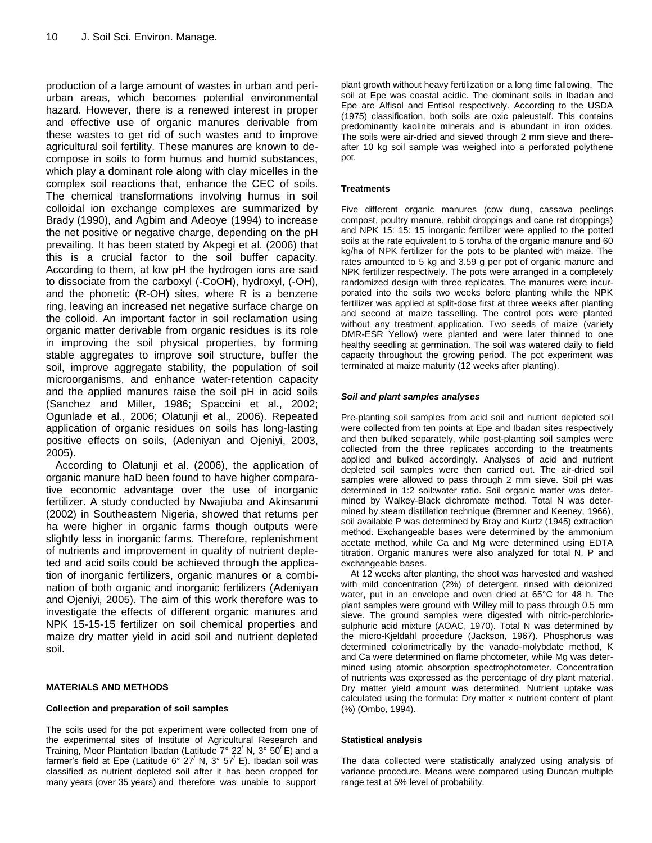production of a large amount of wastes in urban and periurban areas, which becomes potential environmental hazard. However, there is a renewed interest in proper and effective use of organic manures derivable from these wastes to get rid of such wastes and to improve agricultural soil fertility. These manures are known to decompose in soils to form humus and humid substances, which play a dominant role along with clay micelles in the complex soil reactions that, enhance the CEC of soils. The chemical transformations involving humus in soil colloidal ion exchange complexes are summarized by Brady (1990), and Agbim and Adeoye (1994) to increase the net positive or negative charge, depending on the pH prevailing. It has been stated by Akpegi et al. (2006) that this is a crucial factor to the soil buffer capacity. According to them, at low pH the hydrogen ions are said to dissociate from the carboxyl (-CoOH), hydroxyl, (-OH), and the phonetic (R-OH) sites, where R is a benzene ring, leaving an increased net negative surface charge on the colloid. An important factor in soil reclamation using organic matter derivable from organic residues is its role in improving the soil physical properties, by forming stable aggregates to improve soil structure, buffer the soil, improve aggregate stability, the population of soil microorganisms, and enhance water-retention capacity and the applied manures raise the soil pH in acid soils (Sanchez and Miller, 1986; Spaccini et al., 2002; Ogunlade et al., 2006; Olatunji et al., 2006). Repeated application of organic residues on soils has long-lasting positive effects on soils, (Adeniyan and Ojeniyi, 2003, 2005).

According to Olatunji et al. (2006), the application of organic manure haD been found to have higher comparative economic advantage over the use of inorganic fertilizer. A study conducted by Nwajiuba and Akinsanmi (2002) in Southeastern Nigeria, showed that returns per ha were higher in organic farms though outputs were slightly less in inorganic farms. Therefore, replenishment of nutrients and improvement in quality of nutrient depleted and acid soils could be achieved through the application of inorganic fertilizers, organic manures or a combination of both organic and inorganic fertilizers (Adeniyan and Ojeniyi*,* 2005). The aim of this work therefore was to investigate the effects of different organic manures and NPK 15-15-15 fertilizer on soil chemical properties and maize dry matter yield in acid soil and nutrient depleted soil.

#### **MATERIALS AND METHODS**

## **Collection and preparation of soil samples**

The soils used for the pot experiment were collected from one of the experimental sites of Institute of Agricultural Research and Training, Moor Plantation Ibadan (Latitude  $7^{\circ}$  22<sup>/</sup> N, 3 $^{\circ}$  50<sup>/</sup> E) and a farmer's field at Epe (Latitude  $6^{\circ}$  27<sup> $\prime$ </sup> N, 3° 57<sup> $\prime$ </sup> E). Ibadan soil was classified as nutrient depleted soil after it has been cropped for many years (over 35 years) and therefore was unable to support

plant growth without heavy fertilization or a long time fallowing. The soil at Epe was coastal acidic. The dominant soils in Ibadan and Epe are Alfisol and Entisol respectively. According to the USDA (1975) classification, both soils are oxic paleustalf. This contains predominantly kaolinite minerals and is abundant in iron oxides. The soils were air-dried and sieved through 2 mm sieve and thereafter 10 kg soil sample was weighed into a perforated polythene pot.

### **Treatments**

Five different organic manures (cow dung, cassava peelings compost, poultry manure, rabbit droppings and cane rat droppings) and NPK 15: 15: 15 inorganic fertilizer were applied to the potted soils at the rate equivalent to 5 ton/ha of the organic manure and 60 kg/ha of NPK fertilizer for the pots to be planted with maize. The rates amounted to 5 kg and 3.59 g per pot of organic manure and NPK fertilizer respectively. The pots were arranged in a completely randomized design with three replicates. The manures were incurporated into the soils two weeks before planting while the NPK fertilizer was applied at split-dose first at three weeks after planting and second at maize tasselling. The control pots were planted without any treatment application. Two seeds of maize (variety DMR-ESR Yellow) were planted and were later thinned to one healthy seedling at germination. The soil was watered daily to field capacity throughout the growing period. The pot experiment was terminated at maize maturity (12 weeks after planting).

#### *Soil and plant samples analyses*

Pre-planting soil samples from acid soil and nutrient depleted soil were collected from ten points at Epe and Ibadan sites respectively and then bulked separately, while post-planting soil samples were collected from the three replicates according to the treatments applied and bulked accordingly. Analyses of acid and nutrient depleted soil samples were then carried out. The air-dried soil samples were allowed to pass through 2 mm sieve. Soil pH was determined in 1:2 soil:water ratio. Soil organic matter was determined by Walkey-Black dichromate method. Total N was determined by steam distillation technique (Bremner and Keeney, 1966), soil available P was determined by Bray and Kurtz (1945) extraction method. Exchangeable bases were determined by the ammonium acetate method, while Ca and Mg were determined using EDTA titration. Organic manures were also analyzed for total N, P and exchangeable bases.

At 12 weeks after planting, the shoot was harvested and washed with mild concentration (2%) of detergent, rinsed with deionized water, put in an envelope and oven dried at 65°C for 48 h. The plant samples were ground with Willey mill to pass through 0.5 mm sieve. The ground samples were digested with nitric-perchloricsulphuric acid mixture (AOAC, 1970). Total N was determined by the micro-Kjeldahl procedure (Jackson, 1967). Phosphorus was determined colorimetrically by the vanado-molybdate method, K and Ca were determined on flame photometer, while Mg was determined using atomic absorption spectrophotometer. Concentration of nutrients was expressed as the percentage of dry plant material. Dry matter yield amount was determined. Nutrient uptake was calculated using the formula: Dry matter  $\times$  nutrient content of plant (%) (Ombo, 1994).

#### **Statistical analysis**

The data collected were statistically analyzed using analysis of variance procedure. Means were compared using Duncan multiple range test at 5% level of probability.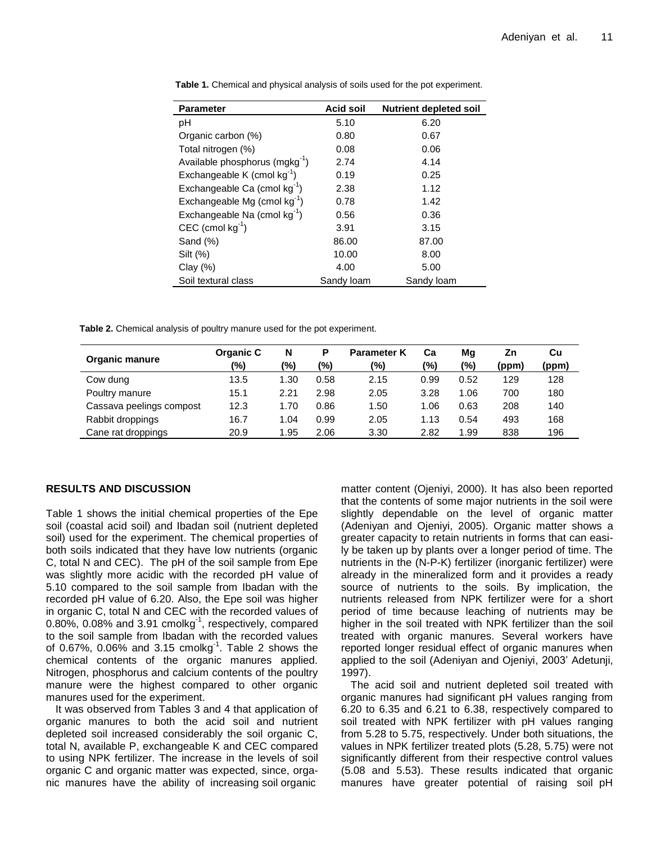| <b>Parameter</b>                         | <b>Acid soil</b> | <b>Nutrient depleted soil</b> |
|------------------------------------------|------------------|-------------------------------|
| рH                                       | 5.10             | 6.20                          |
| Organic carbon (%)                       | 0.80             | 0.67                          |
| Total nitrogen (%)                       | 0.08             | 0.06                          |
| Available phosphorus $(mgkg^{-1})$       | 2.74             | 4.14                          |
| Exchangeable K (cmol $kg^{-1}$ )         | 0.19             | 0.25                          |
| Exchangeable Ca (cmol $kg^{-1}$ )        | 2.38             | 1.12                          |
| Exchangeable Mg (cmol $kg^{-1}$ )        | 0.78             | 1.42                          |
| Exchangeable Na (cmol kg <sup>-1</sup> ) | 0.56             | 0.36                          |
| CEC (cmol $kg^{-1}$ )                    | 3.91             | 3.15                          |
| Sand (%)                                 | 86.00            | 87.00                         |
| Silt (%)                                 | 10.00            | 8.00                          |
| Clay $(\%)$                              | 4.00             | 5.00                          |
| Soil textural class                      | Sandy loam       | Sandy loam                    |

**Table 1.** Chemical and physical analysis of soils used for the pot experiment.

**Table 2.** Chemical analysis of poultry manure used for the pot experiment.

| Organic manure           | Organic C | N    | Ρ    | <b>Parameter K</b> | Ca   | Mq   | Zn    | Cu    |
|--------------------------|-----------|------|------|--------------------|------|------|-------|-------|
|                          | (%)       | (%)  | '%)  | (%)                | (%)  | (%)  | (ppm) | (ppm) |
| Cow dung                 | 13.5      | 1.30 | 0.58 | 2.15               | 0.99 | 0.52 | 129   | 128   |
| Poultry manure           | 15.1      | 2.21 | 2.98 | 2.05               | 3.28 | 1.06 | 700   | 180   |
| Cassava peelings compost | 12.3      | 1.70 | 0.86 | 1.50               | 1.06 | 0.63 | 208   | 140   |
| Rabbit droppings         | 16.7      | 1.04 | 0.99 | 2.05               | 1.13 | 0.54 | 493   | 168   |
| Cane rat droppings       | 20.9      | 1.95 | 2.06 | 3.30               | 2.82 | 1.99 | 838   | 196   |

## **RESULTS AND DISCUSSION**

Table 1 shows the initial chemical properties of the Epe soil (coastal acid soil) and Ibadan soil (nutrient depleted soil) used for the experiment. The chemical properties of both soils indicated that they have low nutrients (organic C, total N and CEC). The pH of the soil sample from Epe was slightly more acidic with the recorded pH value of 5.10 compared to the soil sample from Ibadan with the recorded pH value of 6.20. Also, the Epe soil was higher in organic C, total N and CEC with the recorded values of 0.80%, 0.08% and 3.91 cmolkg $^{-1}$ , respectively, compared to the soil sample from Ibadan with the recorded values of 0.67%, 0.06% and 3.15 cmolkg<sup>-1</sup>. Table 2 shows the chemical contents of the organic manures applied. Nitrogen, phosphorus and calcium contents of the poultry manure were the highest compared to other organic manures used for the experiment.

It was observed from Tables 3 and 4 that application of organic manures to both the acid soil and nutrient depleted soil increased considerably the soil organic C, total N, available P, exchangeable K and CEC compared to using NPK fertilizer. The increase in the levels of soil organic C and organic matter was expected, since, organic manures have the ability of increasing soil organic

matter content (Ojeniyi, 2000). It has also been reported that the contents of some major nutrients in the soil were slightly dependable on the level of organic matter (Adeniyan and Ojeniyi, 2005). Organic matter shows a greater capacity to retain nutrients in forms that can easily be taken up by plants over a longer period of time. The nutrients in the (N-P-K) fertilizer (inorganic fertilizer) were already in the mineralized form and it provides a ready source of nutrients to the soils. By implication, the nutrients released from NPK fertilizer were for a short period of time because leaching of nutrients may be higher in the soil treated with NPK fertilizer than the soil treated with organic manures. Several workers have reported longer residual effect of organic manures when applied to the soil (Adeniyan and Ojeniyi, 2003' Adetunji, 1997).

The acid soil and nutrient depleted soil treated with organic manures had significant pH values ranging from 6.20 to 6.35 and 6.21 to 6.38, respectively compared to soil treated with NPK fertilizer with pH values ranging from 5.28 to 5.75, respectively. Under both situations, the values in NPK fertilizer treated plots (5.28, 5.75) were not significantly different from their respective control values (5.08 and 5.53). These results indicated that organic manures have greater potential of raising soil pH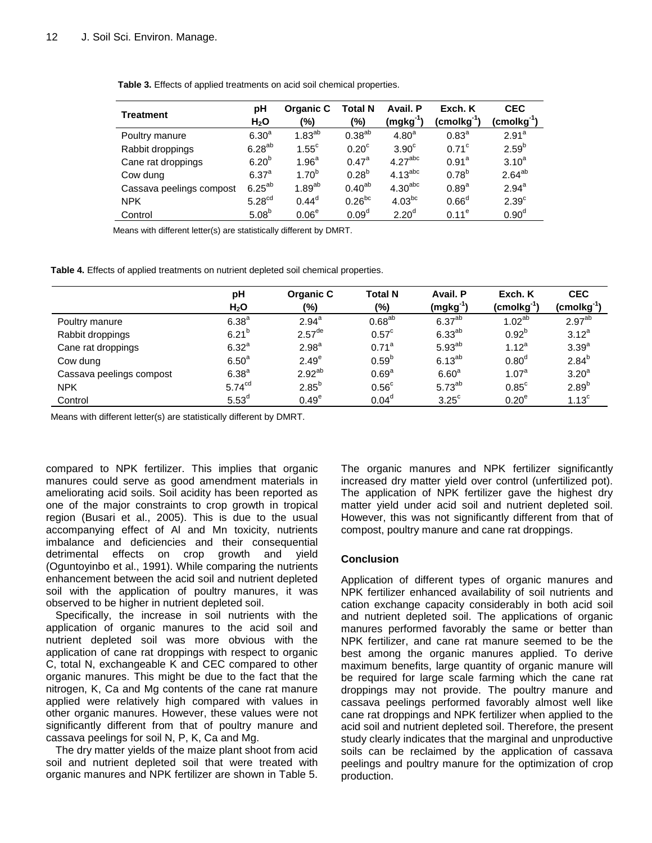| Table 3. Effects of applied treatments on acid soil chemical properties. |  |  |
|--------------------------------------------------------------------------|--|--|
|--------------------------------------------------------------------------|--|--|

| Treatment                | рH                 | Organic C         | <b>Total N</b>    | Avail. P            | Exch. K                         | <b>CEC</b>              |
|--------------------------|--------------------|-------------------|-------------------|---------------------|---------------------------------|-------------------------|
|                          | H <sub>2</sub> O   | (%)               | (%)               | $(mgkg^{-1})$       | $(\mathsf{cmolkg}^{\text{-}1})$ | (cmolkg <sup>-1</sup> ) |
| Poultry manure           | 6.30 <sup>a</sup>  | $1.83^{ab}$       | $0.38^{ab}$       | 4.80 <sup>a</sup>   | $0.83^{a}$                      | $2.91^a$                |
| Rabbit droppings         | $6.28^{ab}$        | $1.55^{\circ}$    | 0.20 <sup>c</sup> | $3.90^\circ$        | $0.71^\circ$                    | $2.59^{b}$              |
| Cane rat droppings       | 6.20 <sup>b</sup>  | 1.96 <sup>a</sup> | $0.47^{\rm a}$    | 4.27 <sup>abc</sup> | $0.91^a$                        | $3.10^{a}$              |
| Cow dung                 | $6.37^{a}$         | $1.70^{b}$        | $0.28^{b}$        | 4.13 <sup>abc</sup> | $0.78^{b}$                      | $2.64^{ab}$             |
| Cassava peelings compost | $6.25^{ab}$        | $1.89^{ab}$       | $0.40^{ab}$       | 4.30 <sup>abc</sup> | $0.89^{a}$                      | $2.94^{a}$              |
| <b>NPK</b>               | 5.28 <sup>cd</sup> | $0.44^d$          | $0.26^{bc}$       | $4.03^{bc}$         | 0.66 <sup>d</sup>               | 2.39 <sup>c</sup>       |
| Control                  | 5.08 <sup>b</sup>  | 0.06 <sup>e</sup> | 0.09 <sup>d</sup> | 2.20 <sup>d</sup>   | $0.11^e$                        | 0.90 <sup>d</sup>       |

Means with different letter(s) are statistically different by DMRT.

**Table 4.** Effects of applied treatments on nutrient depleted soil chemical properties.

|                          | pH<br>H <sub>2</sub> O | Organic C<br>$(\%)$  | <b>Total N</b><br>(%) | Avail. P<br>$(mgkg^{-1})$ | Exch. K<br>(cmolkg <sup>-1</sup> ) | <b>CEC</b><br>$($ cmol $kg^{-1})$ |
|--------------------------|------------------------|----------------------|-----------------------|---------------------------|------------------------------------|-----------------------------------|
|                          | 6.38 <sup>a</sup>      | $2.94^{a}$           | $0.68^{ab}$           | 6.37 <sup>ab</sup>        | 1.02 <sup>ab</sup>                 | 2.97 <sup>ab</sup>                |
| Poultry manure           |                        |                      |                       |                           |                                    |                                   |
| Rabbit droppings         | $6.21^{b}$             | $2.57$ <sup>de</sup> | $0.57^{\circ}$        | $6.33^{ab}$               | $0.92^{b}$                         | $3.12^{a}$                        |
| Cane rat droppings       | 6.32 <sup>a</sup>      | 2.98 <sup>a</sup>    | $0.71^a$              | $5.93^{ab}$               | $1.12^{a}$                         | 3.39 <sup>a</sup>                 |
| Cow dung                 | 6.50 <sup>a</sup>      | 2.49 <sup>e</sup>    | $0.59^{b}$            | $6.13^{ab}$               | 0.80 <sup>d</sup>                  | $2.84^{b}$                        |
| Cassava peelings compost | 6.38 <sup>a</sup>      | $2.92^{ab}$          | 0.69 <sup>a</sup>     | 6.60 <sup>a</sup>         | 1.07 <sup>a</sup>                  | 3.20 <sup>a</sup>                 |
| <b>NPK</b>               | 5.74 <sup>cd</sup>     | $2.85^{b}$           | $0.56^{\circ}$        | $5.73^{ab}$               | $0.85^{\circ}$                     | $2.89^{b}$                        |
| Control                  | 5.53 <sup>d</sup>      | 0.49 <sup>e</sup>    | 0.04 <sup>d</sup>     | $3.25^{\circ}$            | 0.20 <sup>e</sup>                  | 1.13 <sup>c</sup>                 |

Means with different letter(s) are statistically different by DMRT.

compared to NPK fertilizer. This implies that organic manures could serve as good amendment materials in ameliorating acid soils. Soil acidity has been reported as one of the major constraints to crop growth in tropical region (Busari et al., 2005). This is due to the usual accompanying effect of Al and Mn toxicity, nutrients imbalance and deficiencies and their consequential detrimental effects on crop growth and yield (Oguntoyinbo et al., 1991). While comparing the nutrients enhancement between the acid soil and nutrient depleted soil with the application of poultry manures, it was observed to be higher in nutrient depleted soil.

Specifically, the increase in soil nutrients with the application of organic manures to the acid soil and nutrient depleted soil was more obvious with the application of cane rat droppings with respect to organic C, total N, exchangeable K and CEC compared to other organic manures. This might be due to the fact that the nitrogen, K, Ca and Mg contents of the cane rat manure applied were relatively high compared with values in other organic manures. However, these values were not significantly different from that of poultry manure and cassava peelings for soil N, P, K, Ca and Mg.

The dry matter yields of the maize plant shoot from acid soil and nutrient depleted soil that were treated with organic manures and NPK fertilizer are shown in Table 5.

The organic manures and NPK fertilizer significantly increased dry matter yield over control (unfertilized pot). The application of NPK fertilizer gave the highest dry matter yield under acid soil and nutrient depleted soil. However, this was not significantly different from that of compost, poultry manure and cane rat droppings.

## **Conclusion**

Application of different types of organic manures and NPK fertilizer enhanced availability of soil nutrients and cation exchange capacity considerably in both acid soil and nutrient depleted soil. The applications of organic manures performed favorably the same or better than NPK fertilizer, and cane rat manure seemed to be the best among the organic manures applied. To derive maximum benefits, large quantity of organic manure will be required for large scale farming which the cane rat droppings may not provide. The poultry manure and cassava peelings performed favorably almost well like cane rat droppings and NPK fertilizer when applied to the acid soil and nutrient depleted soil. Therefore, the present study clearly indicates that the marginal and unproductive soils can be reclaimed by the application of cassava peelings and poultry manure for the optimization of crop production.